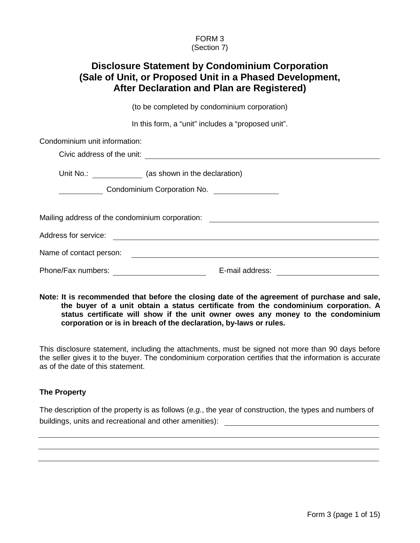## FORM 3 (Section 7)

# **Disclosure Statement by Condominium Corporation (Sale of Unit, or Proposed Unit in a Phased Development, After Declaration and Plan are Registered)**

(to be completed by condominium corporation)

In this form, a "unit" includes a "proposed unit".

| Condominium unit information: |                                                                                                                       |  |
|-------------------------------|-----------------------------------------------------------------------------------------------------------------------|--|
|                               |                                                                                                                       |  |
|                               | Unit No.: (as shown in the declaration)                                                                               |  |
|                               | Condominium Corporation No. ________________                                                                          |  |
|                               | Mailing address of the condominium corporation: ________________________________                                      |  |
| Address for service:          | <u>and the state of the state of the state of the state of the state of the state of the state of the state of th</u> |  |
| Name of contact person:       |                                                                                                                       |  |
| Phone/Fax numbers:            | E-mail address:                                                                                                       |  |

**Note: It is recommended that before the closing date of the agreement of purchase and sale, the buyer of a unit obtain a status certificate from the condominium corporation. A status certificate will show if the unit owner owes any money to the condominium corporation or is in breach of the declaration, by-laws or rules.**

This disclosure statement, including the attachments, must be signed not more than 90 days before the seller gives it to the buyer. The condominium corporation certifies that the information is accurate as of the date of this statement.

# **The Property**

The description of the property is as follows (*e.g.*, the year of construction, the types and numbers of buildings, units and recreational and other amenities):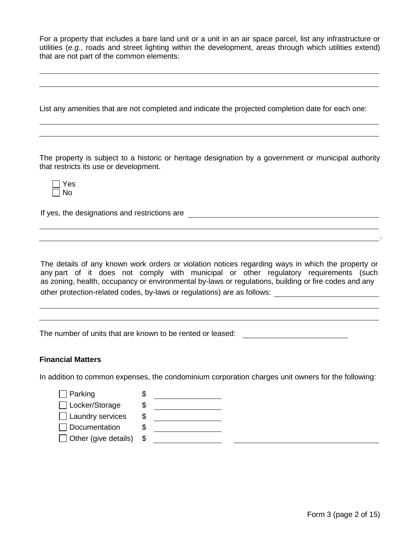For a property that includes a bare land unit or a unit in an air space parcel, list any infrastructure or utilities (*e.g.*, roads and street lighting within the development, areas through which utilities extend) that are not part of the common elements:

List any amenities that are not completed and indicate the projected completion date for each one:

The property is subject to a historic or heritage designation by a government or municipal authority that restricts its use or development.

| بوب    |
|--------|
| n<br>Λ |

If yes, the designations and restrictions are

The details of any known work orders or violation notices regarding ways in which the property or any part of it does not comply with municipal or other regulatory requirements (such as zoning, health, occupancy or environmental by-laws or regulations, building or fire codes and any other protection-related codes, by-laws or regulations) are as follows:

The number of units that are known to be rented or leased:

### **Financial Matters**

In addition to common expenses, the condominium corporation charges unit owners for the following:

| $\Box$ Parking              |   |  |
|-----------------------------|---|--|
| □ Locker/Storage            | S |  |
| $\Box$ Laundry services     | S |  |
| $\Box$ Documentation        |   |  |
| $\Box$ Other (give details) | S |  |
|                             |   |  |

.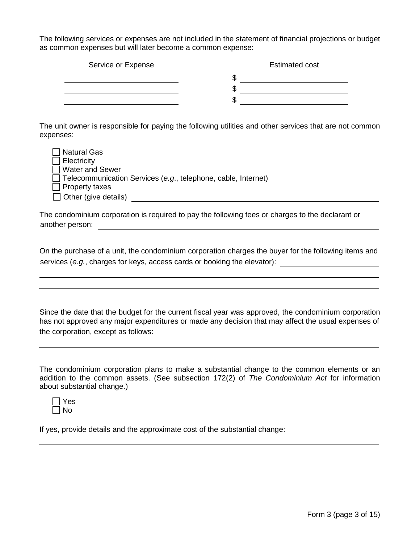The following services or expenses are not included in the statement of financial projections or budget as common expenses but will later become a common expense:

| Service or Expense | <b>Estimated cost</b> |
|--------------------|-----------------------|
|                    | w                     |
|                    |                       |
|                    |                       |

The unit owner is responsible for paying the following utilities and other services that are not common expenses:

| □ Natural Gas               |                                                                      |
|-----------------------------|----------------------------------------------------------------------|
| $\Box$ Electricity          |                                                                      |
| □ Water and Sewer           |                                                                      |
|                             | $\Box$ Telecommunication Services (e.g., telephone, cable, Internet) |
| $\Box$ Property taxes       |                                                                      |
| $\Box$ Other (give details) |                                                                      |

The condominium corporation is required to pay the following fees or charges to the declarant or another person:

On the purchase of a unit, the condominium corporation charges the buyer for the following items and services (*e.g.*, charges for keys, access cards or booking the elevator):

Since the date that the budget for the current fiscal year was approved, the condominium corporation has not approved any major expenditures or made any decision that may affect the usual expenses of the corporation, except as follows:

The condominium corporation plans to make a substantial change to the common elements or an addition to the common assets. (See subsection 172(2) of *The Condominium Act* for information about substantial change.)

| -       |
|---------|
| n<br>۸J |

If yes, provide details and the approximate cost of the substantial change: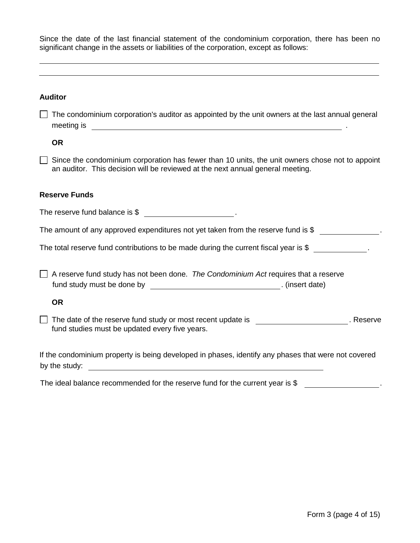|  |  |  |  | Since the date of the last financial statement of the condominium corporation, there has been no |  |  |
|--|--|--|--|--------------------------------------------------------------------------------------------------|--|--|
|  |  |  |  | significant change in the assets or liabilities of the corporation, except as follows:           |  |  |

| <b>Auditor</b>                                                                                                                                                                                                                                                                                                                           |
|------------------------------------------------------------------------------------------------------------------------------------------------------------------------------------------------------------------------------------------------------------------------------------------------------------------------------------------|
| The condominium corporation's auditor as appointed by the unit owners at the last annual general<br>meeting is <u>example and the set of the set of the set of the set of the set of the set of the set of the set of the set of the set of the set of the set of the set of the set of the set of the set of the set of the set of </u> |
| <b>OR</b>                                                                                                                                                                                                                                                                                                                                |
| Since the condominium corporation has fewer than 10 units, the unit owners chose not to appoint<br>an auditor. This decision will be reviewed at the next annual general meeting.                                                                                                                                                        |
| <b>Reserve Funds</b>                                                                                                                                                                                                                                                                                                                     |
| The reserve fund balance is \$                                                                                                                                                                                                                                                                                                           |
| The amount of any approved expenditures not yet taken from the reserve fund is \$                                                                                                                                                                                                                                                        |
| The total reserve fund contributions to be made during the current fiscal year is $\frac{1}{2}$                                                                                                                                                                                                                                          |
| A reserve fund study has not been done. The Condominium Act requires that a reserve                                                                                                                                                                                                                                                      |
| <b>OR</b>                                                                                                                                                                                                                                                                                                                                |
| The date of the reserve fund study or most recent update is _____________________. Reserve<br>fund studies must be updated every five years.                                                                                                                                                                                             |
| If the condominium property is being developed in phases, identify any phases that were not covered<br>by the study:<br><u> 1980 - Jan James James Barbara, meny dia kaominina mpikambana amin'ny fivondronan-kaominin'i Paris (ny faritr</u>                                                                                            |

The ideal balance recommended for the reserve fund for the current year is \$ \_\_\_\_\_\_\_\_\_\_\_\_\_\_\_\_\_.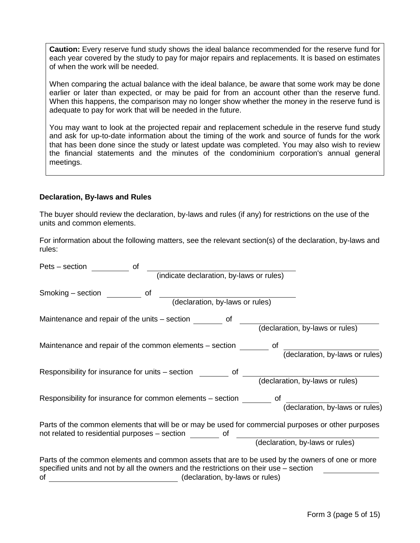**Caution:** Every reserve fund study shows the ideal balance recommended for the reserve fund for each year covered by the study to pay for major repairs and replacements. It is based on estimates of when the work will be needed.

When comparing the actual balance with the ideal balance, be aware that some work may be done earlier or later than expected, or may be paid for from an account other than the reserve fund. When this happens, the comparison may no longer show whether the money in the reserve fund is adequate to pay for work that will be needed in the future.

You may want to look at the projected repair and replacement schedule in the reserve fund study and ask for up-to-date information about the timing of the work and source of funds for the work that has been done since the study or latest update was completed. You may also wish to review the financial statements and the minutes of the condominium corporation's annual general meetings.

#### **Declaration, By-laws and Rules**

The buyer should review the declaration, by-laws and rules (if any) for restrictions on the use of the units and common elements.

For information about the following matters, see the relevant section(s) of the declaration, by-laws and rules:

| of<br>Pets – section                                                                                                                                                                                                              |  |
|-----------------------------------------------------------------------------------------------------------------------------------------------------------------------------------------------------------------------------------|--|
| (indicate declaration, by-laws or rules)                                                                                                                                                                                          |  |
| Smoking – section<br>of<br>(declaration, by-laws or rules)                                                                                                                                                                        |  |
| Maintenance and repair of the units – section<br>(declaration, by-laws or rules)                                                                                                                                                  |  |
| Maintenance and repair of the common elements – section<br>οf<br>(declaration, by-laws or rules)                                                                                                                                  |  |
| Responsibility for insurance for units – section<br>of<br>(declaration, by-laws or rules)                                                                                                                                         |  |
| Responsibility for insurance for common elements – section<br>οf<br>(declaration, by-laws or rules)                                                                                                                               |  |
| Parts of the common elements that will be or may be used for commercial purposes or other purposes<br>not related to residential purposes - section<br>οf<br>(declaration, by-laws or rules)                                      |  |
| Parts of the common elements and common assets that are to be used by the owners of one or more<br>specified units and not by all the owners and the restrictions on their use – section<br>(declaration, by-laws or rules)<br>οf |  |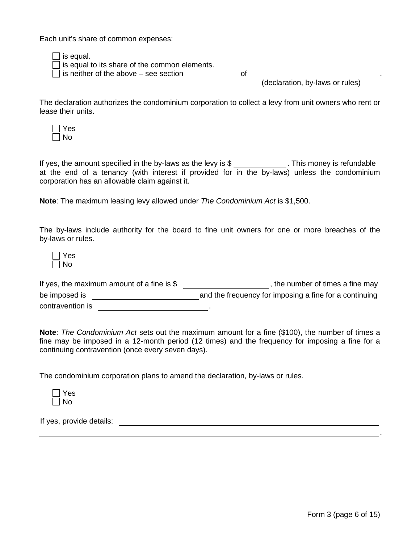Each unit's share of common expenses:

| $\Box$ is equal.                                     |    |                                 |  |
|------------------------------------------------------|----|---------------------------------|--|
| $\Box$ is equal to its share of the common elements. |    |                                 |  |
| $\Box$ is neither of the above – see section         | Ωt |                                 |  |
|                                                      |    | (declaration, by-laws or rules) |  |

The declaration authorizes the condominium corporation to collect a levy from unit owners who rent or lease their units.



If yes, the amount specified in the by-laws as the levy is  $\frac{1}{2}$  . This money is refundable at the end of a tenancy (with interest if provided for in the by-laws) unless the condominium corporation has an allowable claim against it.

**Note**: The maximum leasing levy allowed under *The Condominium Act* is \$1,500.

The by-laws include authority for the board to fine unit owners for one or more breaches of the by-laws or rules.

| es |
|----|
| חמ |

| If yes, the maximum amount of a fine is $$$ | , the number of times a fine may                       |
|---------------------------------------------|--------------------------------------------------------|
| be imposed is                               | and the frequency for imposing a fine for a continuing |
| contravention is                            |                                                        |

**Note**: *The Condominium Act* sets out the maximum amount for a fine (\$100), the number of times a fine may be imposed in a 12-month period (12 times) and the frequency for imposing a fine for a continuing contravention (once every seven days).

The condominium corporation plans to amend the declaration, by-laws or rules.

| .,<br>c<br>- |
|--------------|
| ∩<br>A.      |

If yes, provide details:

.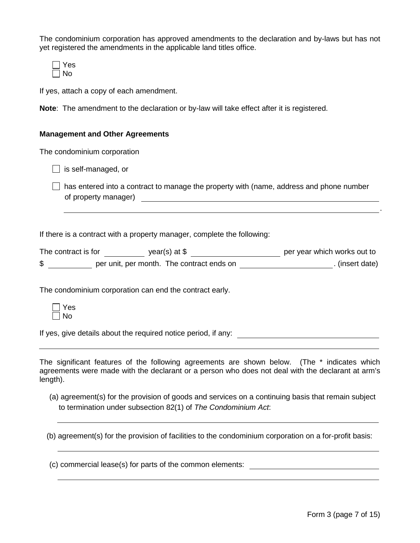The condominium corporation has approved amendments to the declaration and by-laws but has not yet registered the amendments in the applicable land titles office.

| ÷<br>∽ |
|--------|
| n      |

If yes, attach a copy of each amendment.

**Note**: The amendment to the declaration or by-law will take effect after it is registered.

#### **Management and Other Agreements**

The condominium corporation

 $\Box$  is self-managed, or

 $\Box$  has entered into a contract to manage the property with (name, address and phone number of property manager) **contained** and the contact of property manager

If there is a contract with a property manager, complete the following:

| The contract is for | year(s) at $$$                            | per year which works out to |
|---------------------|-------------------------------------------|-----------------------------|
| ₼                   | per unit, per month. The contract ends on | (insert date)               |

The condominium corporation can end the contract early.

| ╾ |
|---|
| n |

If yes, give details about the required notice period, if any:

The significant features of the following agreements are shown below. (The \* indicates which agreements were made with the declarant or a person who does not deal with the declarant at arm's length).

(a) agreement(s) for the provision of goods and services on a continuing basis that remain subject to termination under subsection 82(1) of *The Condominium Act*:

(b) agreement(s) for the provision of facilities to the condominium corporation on a for-profit basis:

(c) commercial lease(s) for parts of the common elements:

.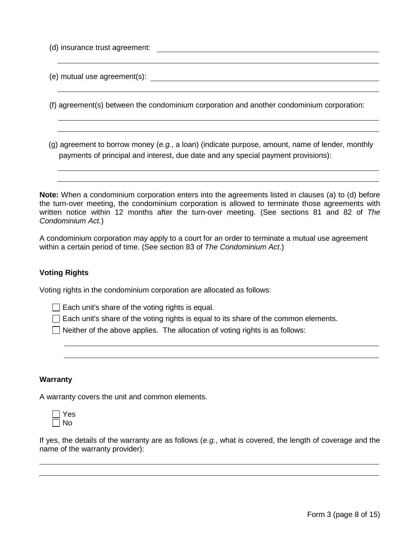| (d) insurance trust agreement: |                                                                                                                                                                                      |
|--------------------------------|--------------------------------------------------------------------------------------------------------------------------------------------------------------------------------------|
|                                | (e) mutual use agreement(s): $\qquad \qquad \qquad$                                                                                                                                  |
|                                | (f) agreement(s) between the condominium corporation and another condominium corporation:                                                                                            |
|                                | (g) agreement to borrow money (e.g., a loan) (indicate purpose, amount, name of lender, monthly<br>payments of principal and interest, due date and any special payment provisions): |
|                                | <b>Jota:</b> When a condominium cornoration enters into the agreements listed in clauses (a) to (d) before                                                                           |

**Note:** When a condominium corporation enters into the agreements listed in clauses (a) to (d) before the turn-over meeting, the condominium corporation is allowed to terminate those agreements with written notice within 12 months after the turn-over meeting. (See sections 81 and 82 of *The Condominium Act.*)

A condominium corporation may apply to a court for an order to terminate a mutual use agreement within a certain period of time. (See section 83 of *The Condominium Act*.)

# **Voting Rights**

Voting rights in the condominium corporation are allocated as follows:

 $\Box$  Each unit's share of the voting rights is equal.

 $\Box$  Each unit's share of the voting rights is equal to its share of the common elements.

 $\Box$  Neither of the above applies. The allocation of voting rights is as follows:

#### **Warranty**

A warranty covers the unit and common elements.



If yes, the details of the warranty are as follows (*e.g.*, what is covered, the length of coverage and the name of the warranty provider):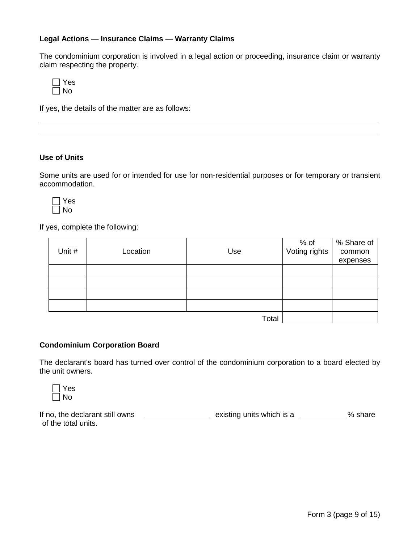# **Legal Actions — Insurance Claims — Warranty Claims**

The condominium corporation is involved in a legal action or proceeding, insurance claim or warranty claim respecting the property.

| es<br>н |
|---------|
| n       |

If yes, the details of the matter are as follows:

#### **Use of Units**

Some units are used for or intended for use for non-residential purposes or for temporary or transient accommodation.



If yes, complete the following:

| Unit # | Location | Use   | % of<br>Voting rights | % Share of<br>common<br>expenses |
|--------|----------|-------|-----------------------|----------------------------------|
|        |          |       |                       |                                  |
|        |          |       |                       |                                  |
|        |          |       |                       |                                  |
|        |          |       |                       |                                  |
|        |          | Total |                       |                                  |

# **Condominium Corporation Board**

The declarant's board has turned over control of the condominium corporation to a board elected by the unit owners.

| C. |
|----|

If no, the declarant still owns \_\_\_\_\_\_\_\_\_\_\_\_\_\_\_\_\_\_\_\_\_ existing units which is a % share of the total units.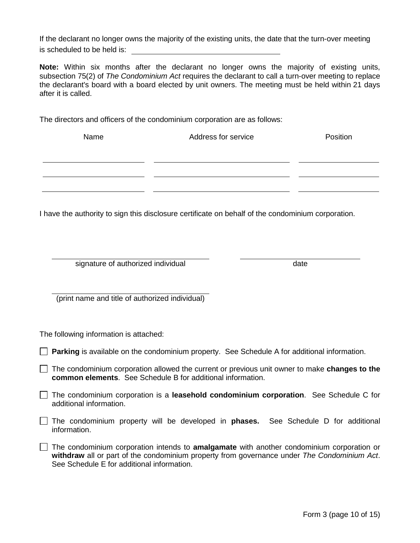If the declarant no longer owns the majority of the existing units, the date that the turn-over meeting is scheduled to be held is:

**Note:** Within six months after the declarant no longer owns the majority of existing units, subsection 75(2) of *The Condominium Act* requires the declarant to call a turn-over meeting to replace the declarant's board with a board elected by unit owners. The meeting must be held within 21 days after it is called.

The directors and officers of the condominium corporation are as follows:

| Name | Address for service | Position |
|------|---------------------|----------|
|      |                     |          |
|      |                     |          |
|      |                     |          |

I have the authority to sign this disclosure certificate on behalf of the condominium corporation.

signature of authorized individual date

(print name and title of authorized individual)

The following information is attached:

**Parking** is available on the condominium property. See Schedule A for additional information.

 The condominium corporation allowed the current or previous unit owner to make **changes to the common elements**. See Schedule B for additional information.

 The condominium corporation is a **leasehold condominium corporation**. See Schedule C for additional information.

 The condominium property will be developed in **phases.** See Schedule D for additional information.

The condominium corporation intends to **amalgamate** with another condominium corporation or **withdraw** all or part of the condominium property from governance under *The Condominium Act*. See Schedule E for additional information.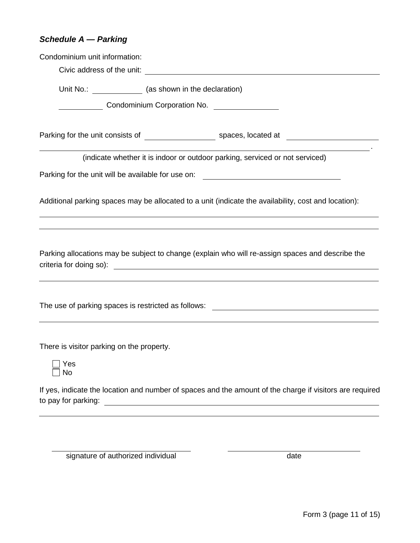# *Schedule A — Parking*

| Condominium unit information:             |                                                                                                                                                                                                                                   |
|-------------------------------------------|-----------------------------------------------------------------------------------------------------------------------------------------------------------------------------------------------------------------------------------|
| Civic address of the unit:                | <u> Alexandria de la contrada de la contrada de la contrada de la contrada de la contrada de la contrada de la c</u>                                                                                                              |
| Unit No.: (as shown in the declaration)   |                                                                                                                                                                                                                                   |
| <b>Condominium Corporation No.</b>        |                                                                                                                                                                                                                                   |
|                                           |                                                                                                                                                                                                                                   |
|                                           |                                                                                                                                                                                                                                   |
|                                           | (indicate whether it is indoor or outdoor parking, serviced or not serviced)                                                                                                                                                      |
|                                           | Parking for the unit will be available for use on: _____________________________                                                                                                                                                  |
|                                           |                                                                                                                                                                                                                                   |
|                                           | Additional parking spaces may be allocated to a unit (indicate the availability, cost and location):                                                                                                                              |
|                                           |                                                                                                                                                                                                                                   |
|                                           | Parking allocations may be subject to change (explain who will re-assign spaces and describe the                                                                                                                                  |
|                                           |                                                                                                                                                                                                                                   |
| There is visitor parking on the property. |                                                                                                                                                                                                                                   |
| Yes<br><b>No</b>                          |                                                                                                                                                                                                                                   |
| to pay for parking:                       | If yes, indicate the location and number of spaces and the amount of the charge if visitors are required<br><u>and the state of the state of the state of the state of the state of the state of the state of the state of th</u> |

signature of authorized individual date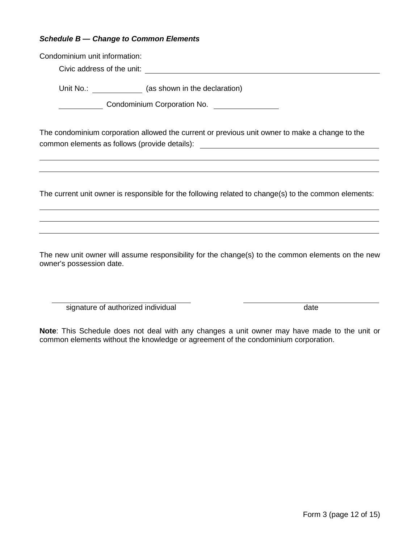## *Schedule B — Change to Common Elements*

Condominium unit information: Civic address of the unit: Unit No.: (as shown in the declaration) Condominium Corporation No.

The condominium corporation allowed the current or previous unit owner to make a change to the common elements as follows (provide details):

The current unit owner is responsible for the following related to change(s) to the common elements:

The new unit owner will assume responsibility for the change(s) to the common elements on the new owner's possession date.

signature of authorized individual date and the state of authorized individual date

**Note**: This Schedule does not deal with any changes a unit owner may have made to the unit or common elements without the knowledge or agreement of the condominium corporation.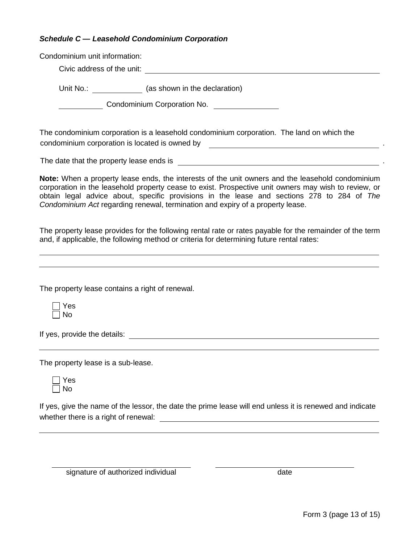|                                    | Condominium unit information:                                                                                                                                                                                                                                                                                                                                                            |
|------------------------------------|------------------------------------------------------------------------------------------------------------------------------------------------------------------------------------------------------------------------------------------------------------------------------------------------------------------------------------------------------------------------------------------|
|                                    |                                                                                                                                                                                                                                                                                                                                                                                          |
|                                    | Unit No.: _______________ (as shown in the declaration)                                                                                                                                                                                                                                                                                                                                  |
|                                    | Condominium Corporation No. [1982]                                                                                                                                                                                                                                                                                                                                                       |
|                                    | The condominium corporation is a leasehold condominium corporation. The land on which the                                                                                                                                                                                                                                                                                                |
|                                    |                                                                                                                                                                                                                                                                                                                                                                                          |
|                                    | Note: When a property lease ends, the interests of the unit owners and the leasehold condominium<br>corporation in the leasehold property cease to exist. Prospective unit owners may wish to review, or<br>obtain legal advice about, specific provisions in the lease and sections 278 to 284 of The<br>Condominium Act regarding renewal, termination and expiry of a property lease. |
|                                    | The property lease provides for the following rental rate or rates payable for the remainder of the term<br>and, if applicable, the following method or criteria for determining future rental rates:<br>,我们也不会有什么。""我们的人,我们也不会有什么?""我们的人,我们也不会有什么?""我们的人,我们也不会有什么?""我们的人,我们也不会有什么?""我们的人                                                                                                |
|                                    | The property lease contains a right of renewal.                                                                                                                                                                                                                                                                                                                                          |
| Yes<br><b>No</b>                   |                                                                                                                                                                                                                                                                                                                                                                                          |
|                                    |                                                                                                                                                                                                                                                                                                                                                                                          |
| The property lease is a sub-lease. |                                                                                                                                                                                                                                                                                                                                                                                          |
|                                    |                                                                                                                                                                                                                                                                                                                                                                                          |
| Yes<br>No                          |                                                                                                                                                                                                                                                                                                                                                                                          |

signature of authorized individual date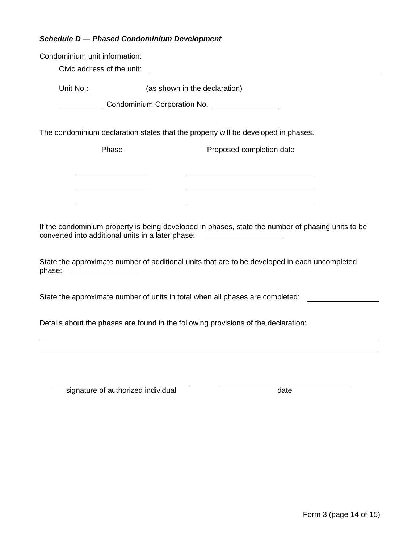# *Schedule D — Phased Condominium Development*

| Condominium unit information:                            |                                                                                                                                                                                       |
|----------------------------------------------------------|---------------------------------------------------------------------------------------------------------------------------------------------------------------------------------------|
| Civic address of the unit:                               | <u> 1980 - Jan Samuel Barbara, político establecera en la provincia de la provincia de la provincia de la provinc</u>                                                                 |
|                                                          | Unit No.: ______________ (as shown in the declaration)                                                                                                                                |
|                                                          | Condominium Corporation No. ________________                                                                                                                                          |
|                                                          |                                                                                                                                                                                       |
|                                                          | The condominium declaration states that the property will be developed in phases.                                                                                                     |
| Phase                                                    | Proposed completion date                                                                                                                                                              |
|                                                          |                                                                                                                                                                                       |
|                                                          |                                                                                                                                                                                       |
|                                                          |                                                                                                                                                                                       |
|                                                          |                                                                                                                                                                                       |
|                                                          | If the condominium property is being developed in phases, state the number of phasing units to be<br>converted into additional units in a later phase: ______________________________ |
| phase:<br><u> The Communication of the Communication</u> | State the approximate number of additional units that are to be developed in each uncompleted                                                                                         |
|                                                          | State the approximate number of units in total when all phases are completed:                                                                                                         |
|                                                          | Details about the phases are found in the following provisions of the declaration:                                                                                                    |
|                                                          |                                                                                                                                                                                       |
|                                                          |                                                                                                                                                                                       |
|                                                          |                                                                                                                                                                                       |

signature of authorized individual date